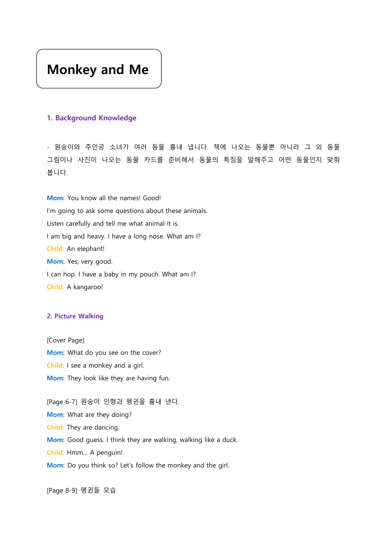# Monkey and Me

# 1. Background Knowledge

- 원숭이와 주인공 소녀가 여러 동물 흉내 냅니다. 책에 나오는 동물뿐 아니라 그 외 동물 그림이나 사진이 나오는 동물 카드를 준비해서 동물의 특징을 말해주고 어떤 동물인지 맞춰 봅니다.

Mom: You know all the names! Good! I'm going to ask some questions about these animals. Listen carefully and tell me what animal it is. I am big and heavy. I have a long nose. What am I? Child: An elephant! Mom: Yes, very good. I can hop. I have a baby in my pouch. What am I? Child: A kangaroo!

#### 2. Picture Walking

[Cover Page] Mom: What do you see on the cover? Child: I see a monkey and a girl. Mom: They look like they are having fun.

[Page 6-7] 원숭이 인형과 펭귄을 흉내 낸다. Mom: What are they doing? Child: They are dancing. Mom: Good guess. I think they are walking, walking like a duck. Child: Hmm… A penguin! Mom: Do you think so? Let's follow the monkey and the girl.

[Page 8-9] 펭귄들 모습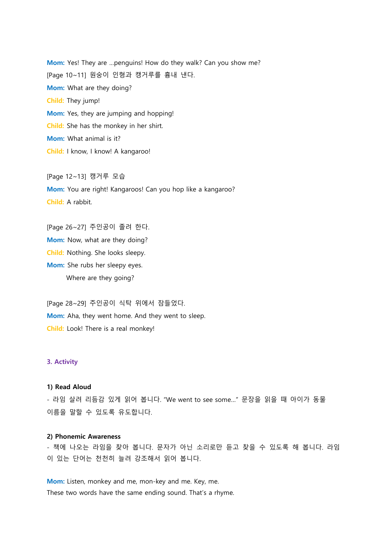Mom: Yes! They are ...penguins! How do they walk? Can you show me? [Page 10~11] 원숭이 인형과 캥거루를 흉내 낸다. Mom: What are they doing? Child: They jump! Mom: Yes, they are jumping and hopping! Child: She has the monkey in her shirt. Mom: What animal is it? Child: I know, I know! A kangaroo!

[Page 12~13] 캥거루 모습 Mom: You are right! Kangaroos! Can you hop like a kangaroo? Child: A rabbit.

[Page 26~27] 주인공이 졸려 한다. Mom: Now, what are they doing? Child: Nothing. She looks sleepy. Mom: She rubs her sleepy eyes. Where are they going?

[Page 28~29] 주인공이 식탁 위에서 잠들었다. Mom: Aha, they went home. And they went to sleep. Child: Look! There is a real monkey!

#### 3. Activity

#### 1) Read Aloud

- 라임 살려 리듬감 있게 읽어 봅니다. "We went to see some…" 문장을 읽을 때 아이가 동물 이름을 말할 수 있도록 유도합니다.

### 2) Phonemic Awareness

- 책에 나오는 라임을 찾아 봅니다. 문자가 아닌 소리로만 듣고 찾을 수 있도록 해 봅니다. 라임 이 있는 단어는 천천히 늘려 강조해서 읽어 봅니다.

Mom: Listen, monkey and me, mon-key and me. Key, me. These two words have the same ending sound. That's a rhyme.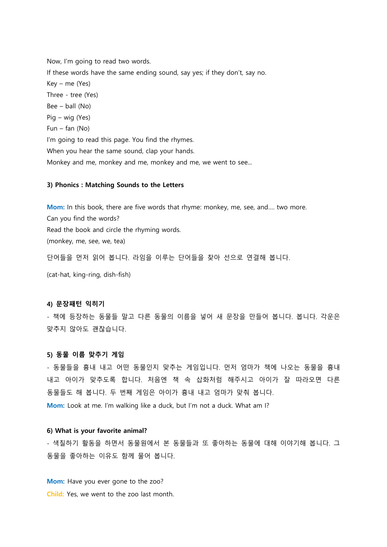Now, I'm going to read two words. If these words have the same ending sound, say yes; if they don't, say no. Key – me (Yes) Three - tree (Yes) Bee – ball (No) Pig – wig (Yes) Fun – fan (No) I'm going to read this page. You find the rhymes. When you hear the same sound, clap your hands. Monkey and me, monkey and me, monkey and me, we went to see...

#### 3) Phonics : Matching Sounds to the Letters

Mom: In this book, there are five words that rhyme: monkey, me, see, and…. two more. Can you find the words? Read the book and circle the rhyming words. (monkey, me, see, we, tea)

단어들을 먼저 읽어 봅니다. 라임을 이루는 단어들을 찾아 선으로 연결해 봅니다.

(cat-hat, king-ring, dish-fish)

#### 4) 문장패턴 익히기

- 책에 등장하는 동물들 말고 다른 동물의 이름을 넣어 새 문장을 만들어 봅니다. 봅니다. 각운은 맞추지 않아도 괜찮습니다.

# 5) 동물 이름 맞추기 게임

- 동물들을 흉내 내고 어떤 동물인지 맞추는 게임입니다. 먼저 엄마가 책에 나오는 동물을 흉내 내고 아이가 맞추도록 합니다. 처음엔 책 속 삽화처럼 해주시고 아이가 잘 따라오면 다른 동물들도 해 봅니다. 두 번째 게임은 아이가 흉내 내고 엄마가 맞춰 봅니다.

Mom: Look at me. I'm walking like a duck, but I'm not a duck. What am I?

### 6) What is your favorite animal?

- 색칠하기 활동을 하면서 동물원에서 본 동물들과 또 좋아하는 동물에 대해 이야기해 봅니다. 그 동물을 좋아하는 이유도 함께 물어 봅니다.

Mom: Have you ever gone to the zoo? Child: Yes, we went to the zoo last month.